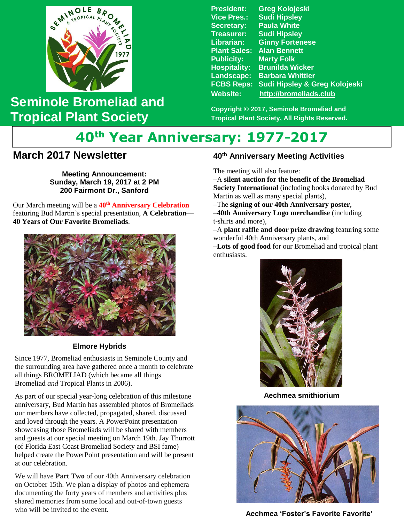

## **Seminole Bromeliad and Tropical Plant Society**

**President: Greg Kolojeski Vice Pres.: Sudi Hipsley Secretary: Paula White Treasurer: Sudi Hipsley Librarian: Ginny Fortenese Plant Sales: Alan Bennett Marty Folk Hospitality: Brunilda Wicker Landscape: Barbara Whittier FCBS Reps: Sudi Hipsley & Greg Kolojeski Website: [http://bromeliads.club](http://bromeliads.club/)**

**Copyright © 2017, Seminole Bromeliad and Tropical Plant Society, All Rights Reserved.**

# **40th Year Anniversary: 1977-2017**

### **March 2017 Newsletter**

**Sunday, March 19, 2017 at 2 PM Meeting Announcement: 200 Fairmont Dr., Sanford**

 Our March meeting will be a **40th Anniversary Celebration**  featuring Bud Martin's special presentation, **A Celebration— 40 Years of Our Favorite Bromeliads**.



#### **Elmore Hybrids**

Since 1977, Bromeliad enthusiasts in Seminole County and the surrounding area have gathered once a month to celebrate all things BROMELIAD (which became all things Bromeliad *and* Tropical Plants in 2006).

As part of our special year-long celebration of this milestone anniversary, Bud Martin has assembled photos of Bromeliads our members have collected, propagated, shared, discussed and loved through the years. A PowerPoint presentation showcasing those Bromeliads will be shared with members and guests at our special meeting on March 19th. Jay Thurrott (of Florida East Coast Bromeliad Society and BSI fame) helped create the PowerPoint presentation and will be present at our celebration.

We will have **Part Two** of our 40th Anniversary celebration on October 15th. We plan a display of photos and ephemera documenting the forty years of members and activities plus shared memories from some local and out-of-town guests who will be invited to the event.

#### **40th Anniversary Meeting Activities**

The meeting will also feature:

–A **silent auction for the benefit of the Bromeliad Society International** (including books donated by Bud Martin as well as many special plants),

–The **signing of our 40th Anniversary poster**,

–**40th Anniversary Logo merchandise** (including t-shirts and more),

–A **plant raffle and door prize drawing** featuring some wonderful 40th Anniversary plants, and

–**Lots of good food** for our Bromeliad and tropical plant enthusiasts.



 **Aechmea smithiorium**



 **Aechmea 'Foster's Favorite Favorite'**